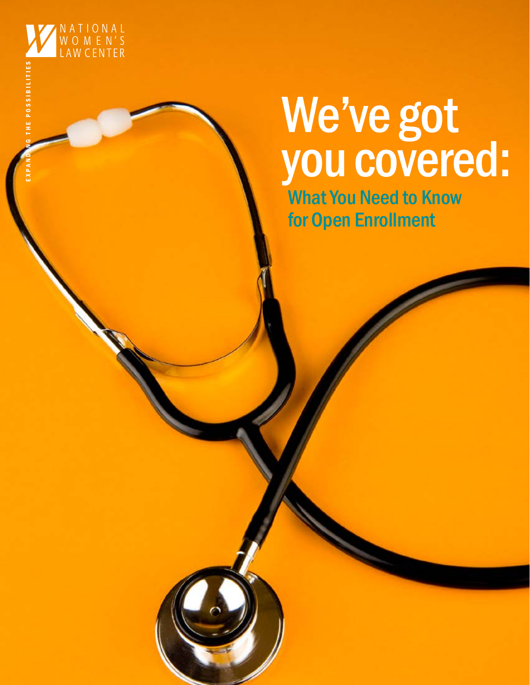

# We've got you covered:

What You Need to Know for Open Enrollment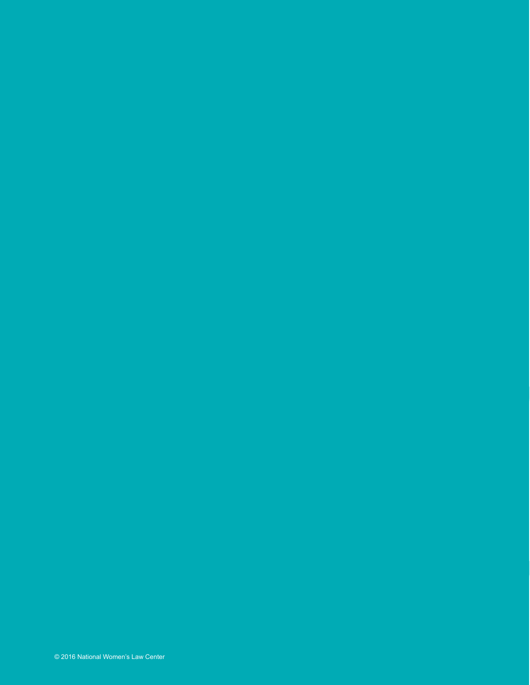© 2016 National Women's Law Center<br>© 2016 National Women's Law Center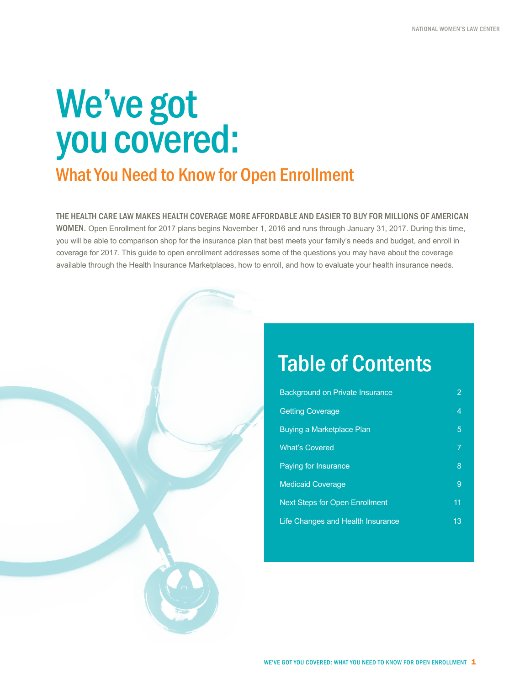## We've got you covered:

### What You Need to Know for Open Enrollment

The health care law makes health coverage more affordable and easier to buy for millions of American women. Open Enrollment for 2017 plans begins November 1, 2016 and runs through January 31, 2017. During this time, you will be able to comparison shop for the insurance plan that best meets your family's needs and budget, and enroll in coverage for 2017. This guide to open enrollment addresses some of the questions you may have about the coverage available through the Health Insurance Marketplaces, how to enroll, and how to evaluate your health insurance needs.

### Table of Contents

| <b>Background on Private Insurance</b> | 2  |
|----------------------------------------|----|
| <b>Getting Coverage</b>                | 4  |
| <b>Buying a Marketplace Plan</b>       | 5  |
| <b>What's Covered</b>                  | 7  |
| Paying for Insurance                   | 8  |
| <b>Medicaid Coverage</b>               | 9  |
| <b>Next Steps for Open Enrollment</b>  | 11 |
| Life Changes and Health Insurance      | 13 |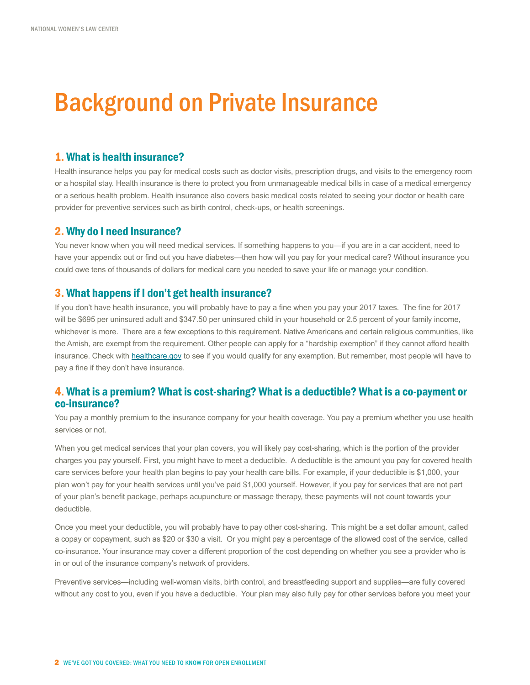### Background on Private Insurance

### 1. What is health insurance?

Health insurance helps you pay for medical costs such as doctor visits, prescription drugs, and visits to the emergency room or a hospital stay. Health insurance is there to protect you from unmanageable medical bills in case of a medical emergency or a serious health problem. Health insurance also covers basic medical costs related to seeing your doctor or health care provider for preventive services such as birth control, check-ups, or health screenings.

### 2. Why do I need insurance?

You never know when you will need medical services. If something happens to you—if you are in a car accident, need to have your appendix out or find out you have diabetes—then how will you pay for your medical care? Without insurance you could owe tens of thousands of dollars for medical care you needed to save your life or manage your condition.

### 3. What happens if I don't get health insurance?

If you don't have health insurance, you will probably have to pay a fine when you pay your 2017 taxes. The fine for 2017 will be \$695 per uninsured adult and \$347.50 per uninsured child in your household or 2.5 percent of your family income, whichever is more. There are a few exceptions to this requirement. Native Americans and certain religious communities, like the Amish, are exempt from the requirement. Other people can apply for a "hardship exemption" if they cannot afford health insurance. Check with [healthcare.gov](https://www.healthcare.gov/) to see if you would qualify for any exemption. But remember, most people will have to pay a fine if they don't have insurance.

### 4. What is a premium? What is cost-sharing? What is a deductible? What is a co-payment or co-insurance?

You pay a monthly premium to the insurance company for your health coverage. You pay a premium whether you use health services or not.

When you get medical services that your plan covers, you will likely pay cost-sharing, which is the portion of the provider charges you pay yourself. First, you might have to meet a deductible. A deductible is the amount you pay for covered health care services before your health plan begins to pay your health care bills. For example, if your deductible is \$1,000, your plan won't pay for your health services until you've paid \$1,000 yourself. However, if you pay for services that are not part of your plan's benefit package, perhaps acupuncture or massage therapy, these payments will not count towards your deductible.

Once you meet your deductible, you will probably have to pay other cost-sharing. This might be a set dollar amount, called a copay or copayment, such as \$20 or \$30 a visit. Or you might pay a percentage of the allowed cost of the service, called co-insurance. Your insurance may cover a different proportion of the cost depending on whether you see a provider who is in or out of the insurance company's network of providers.

Preventive services—including well-woman visits, birth control, and breastfeeding support and supplies—are fully covered without any cost to you, even if you have a deductible. Your plan may also fully pay for other services before you meet your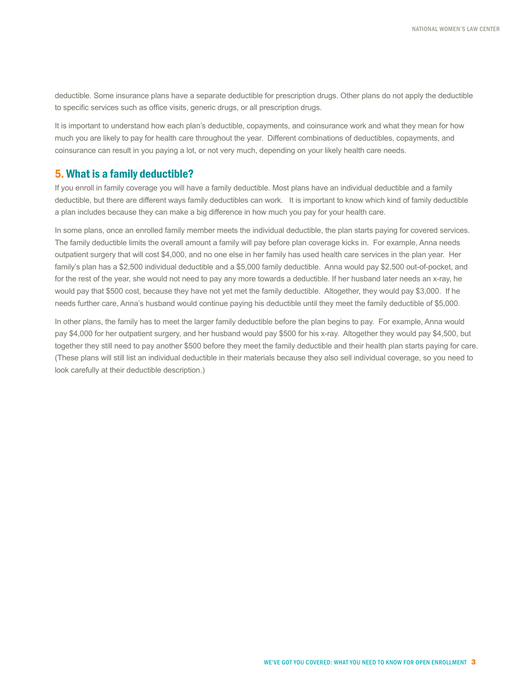deductible. Some insurance plans have a separate deductible for prescription drugs. Other plans do not apply the deductible to specific services such as office visits, generic drugs, or all prescription drugs.

It is important to understand how each plan's deductible, copayments, and coinsurance work and what they mean for how much you are likely to pay for health care throughout the year. Different combinations of deductibles, copayments, and coinsurance can result in you paying a lot, or not very much, depending on your likely health care needs.

### 5. What is a family deductible?

If you enroll in family coverage you will have a family deductible. Most plans have an individual deductible and a family deductible, but there are different ways family deductibles can work. It is important to know which kind of family deductible a plan includes because they can make a big difference in how much you pay for your health care.

In some plans, once an enrolled family member meets the individual deductible, the plan starts paying for covered services. The family deductible limits the overall amount a family will pay before plan coverage kicks in. For example, Anna needs outpatient surgery that will cost \$4,000, and no one else in her family has used health care services in the plan year. Her family's plan has a \$2,500 individual deductible and a \$5,000 family deductible. Anna would pay \$2,500 out-of-pocket, and for the rest of the year, she would not need to pay any more towards a deductible. If her husband later needs an x-ray, he would pay that \$500 cost, because they have not yet met the family deductible. Altogether, they would pay \$3,000. If he needs further care, Anna's husband would continue paying his deductible until they meet the family deductible of \$5,000.

In other plans, the family has to meet the larger family deductible before the plan begins to pay. For example, Anna would pay \$4,000 for her outpatient surgery, and her husband would pay \$500 for his x-ray. Altogether they would pay \$4,500, but together they still need to pay another \$500 before they meet the family deductible and their health plan starts paying for care. (These plans will still list an individual deductible in their materials because they also sell individual coverage, so you need to look carefully at their deductible description.)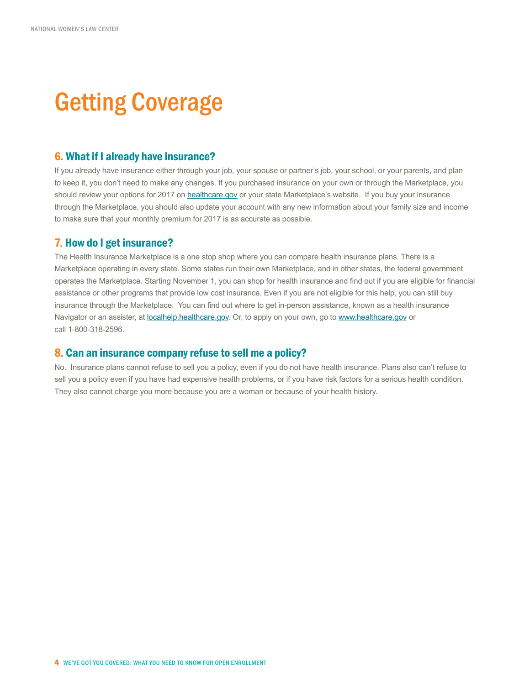## Getting Coverage

### 6. What if I already have insurance?

If you already have insurance either through your job, your spouse or partner's job, your school, or your parents, and plan to keep it, you don't need to make any changes. If you purchased insurance on your own or through the Marketplace, you should review your options for 2017 on [healthcare.gov](https://www.healthcare.gov/) or your state Marketplace's website. If you buy your insurance through the Marketplace, you should also update your account with any new information about your family size and income to make sure that your monthly premium for 2017 is as accurate as possible.

### 7. How do I get insurance?

The Health Insurance Marketplace is a one stop shop where you can compare health insurance plans. There is a Marketplace operating in every state. Some states run their own Marketplace, and in other states, the federal government operates the Marketplace. Starting November 1, you can shop for health insurance and find out if you are eligible for financial assistance or other programs that provide low cost insurance. Even if you are not eligible for this help, you can still buy insurance through the Marketplace. You can find out where to get in-person assistance, known as a health insurance Navigator or an assister, at [localhelp.healthcare.gov](https://localhelp.healthcare.gov/). Or, to apply on your own, go to [www.healthcare.gov](https://www.healthcare.gov/) or call 1-800-318-2596.

### 8. Can an insurance company refuse to sell me a policy?

No. Insurance plans cannot refuse to sell you a policy, even if you do not have health insurance. Plans also can't refuse to sell you a policy even if you have had expensive health problems, or if you have risk factors for a serious health condition. They also cannot charge you more because you are a woman or because of your health history.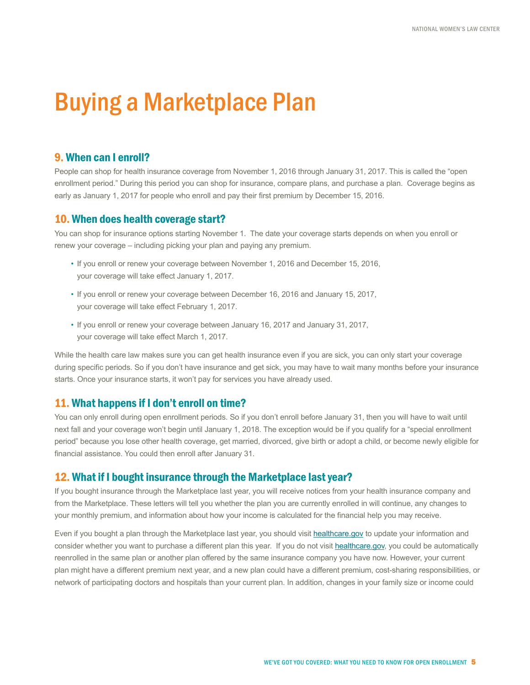### Buying a Marketplace Plan

### 9. When can I enroll?

People can shop for health insurance coverage from November 1, 2016 through January 31, 2017. This is called the "open enrollment period." During this period you can shop for insurance, compare plans, and purchase a plan. Coverage begins as early as January 1, 2017 for people who enroll and pay their first premium by December 15, 2016.

### 10. When does health coverage start?

You can shop for insurance options starting November 1. The date your coverage starts depends on when you enroll or renew your coverage – including picking your plan and paying any premium.

- If you enroll or renew your coverage between November 1, 2016 and December 15, 2016, your coverage will take effect January 1, 2017.
- If you enroll or renew your coverage between December 16, 2016 and January 15, 2017, your coverage will take effect February 1, 2017.
- If you enroll or renew your coverage between January 16, 2017 and January 31, 2017, your coverage will take effect March 1, 2017.

While the health care law makes sure you can get health insurance even if you are sick, you can only start your coverage during specific periods. So if you don't have insurance and get sick, you may have to wait many months before your insurance starts. Once your insurance starts, it won't pay for services you have already used.

### 11. What happens if I don't enroll on time?

You can only enroll during open enrollment periods. So if you don't enroll before January 31, then you will have to wait until next fall and your coverage won't begin until January 1, 2018. The exception would be if you qualify for a "special enrollment period" because you lose other health coverage, get married, divorced, give birth or adopt a child, or become newly eligible for financial assistance. You could then enroll after January 31.

### 12. What if I bought insurance through the Marketplace last year?

If you bought insurance through the Marketplace last year, you will receive notices from your health insurance company and from the Marketplace. These letters will tell you whether the plan you are currently enrolled in will continue, any changes to your monthly premium, and information about how your income is calculated for the financial help you may receive.

Even if you bought a plan through the Marketplace last year, you should visit [healthcare.gov](https://www.healthcare.gov/) to update your information and consider whether you want to purchase a different plan this year. If you do not visit [healthcare.gov](https://www.healthcare.gov/), you could be automatically reenrolled in the same plan or another plan offered by the same insurance company you have now. However, your current plan might have a different premium next year, and a new plan could have a different premium, cost-sharing responsibilities, or network of participating doctors and hospitals than your current plan. In addition, changes in your family size or income could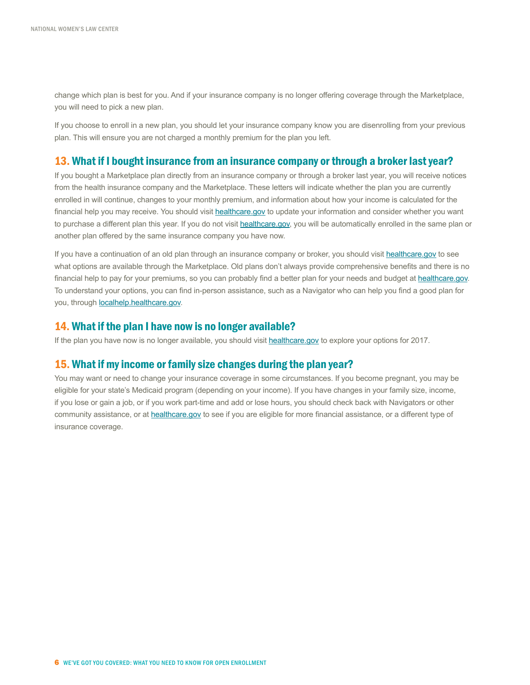change which plan is best for you. And if your insurance company is no longer offering coverage through the Marketplace, you will need to pick a new plan.

If you choose to enroll in a new plan, you should let your insurance company know you are disenrolling from your previous plan. This will ensure you are not charged a monthly premium for the plan you left.

### 13. What if I bought insurance from an insurance company or through a broker last year?

If you bought a Marketplace plan directly from an insurance company or through a broker last year, you will receive notices from the health insurance company and the Marketplace. These letters will indicate whether the plan you are currently enrolled in will continue, changes to your monthly premium, and information about how your income is calculated for the financial help you may receive. You should visit [healthcare.gov](https://www.healthcare.gov/) to update your information and consider whether you want to purchase a different plan this year. If you do not visit [healthcare.gov,](https://www.healthcare.gov/) you will be automatically enrolled in the same plan or another plan offered by the same insurance company you have now.

If you have a continuation of an old plan through an insurance company or broker, you should visit [healthcare.gov](https://www.healthcare.gov/) to see what options are available through the Marketplace. Old plans don't always provide comprehensive benefits and there is no financial help to pay for your premiums, so you can probably find a better plan for your needs and budget at [healthcare.gov](https://www.healthcare.gov/). To understand your options, you can find in-person assistance, such as a Navigator who can help you find a good plan for you, through **localhelp**.healthcare.gov.

### 14. What if the plan I have now is no longer available?

If the plan you have now is no longer available, you should visit healthcare.gov to explore your options for 2017.

### 15. What if my income or family size changes during the plan year?

You may want or need to change your insurance coverage in some circumstances. If you become pregnant, you may be eligible for your state's Medicaid program (depending on your income). If you have changes in your family size, income, if you lose or gain a job, or if you work part-time and add or lose hours, you should check back with Navigators or other community assistance, or at [healthcare.gov](https://www.healthcare.gov/) to see if you are eligible for more financial assistance, or a different type of insurance coverage.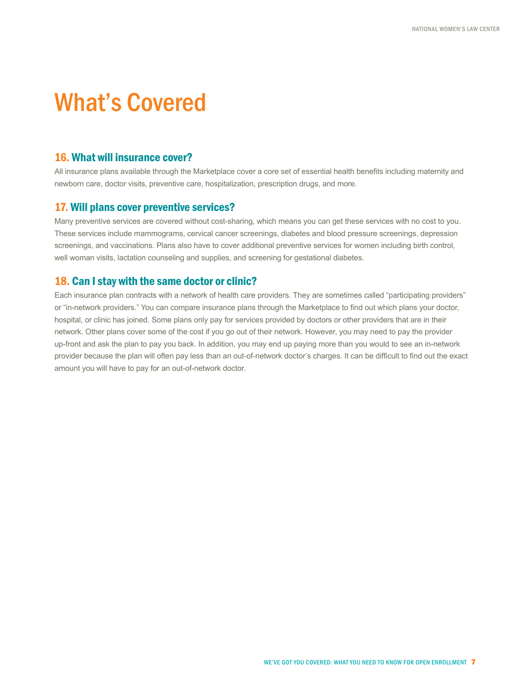### What's Covered

### 16. What will insurance cover?

All insurance plans available through the Marketplace cover a core set of essential health benefits including maternity and newborn care, doctor visits, preventive care, hospitalization, prescription drugs, and more.

### 17. Will plans cover preventive services?

Many preventive services are covered without cost-sharing, which means you can get these services with no cost to you. These services include mammograms, cervical cancer screenings, diabetes and blood pressure screenings, depression screenings, and vaccinations. Plans also have to cover additional preventive services for women including birth control, well woman visits, lactation counseling and supplies, and screening for gestational diabetes.

### 18. Can I stay with the same doctor or clinic?

Each insurance plan contracts with a network of health care providers. They are sometimes called "participating providers" or "in-network providers." You can compare insurance plans through the Marketplace to find out which plans your doctor, hospital, or clinic has joined. Some plans only pay for services provided by doctors or other providers that are in their network. Other plans cover some of the cost if you go out of their network. However, you may need to pay the provider up-front and ask the plan to pay you back. In addition, you may end up paying more than you would to see an in-network provider because the plan will often pay less than an out-of-network doctor's charges. It can be difficult to find out the exact amount you will have to pay for an out-of-network doctor.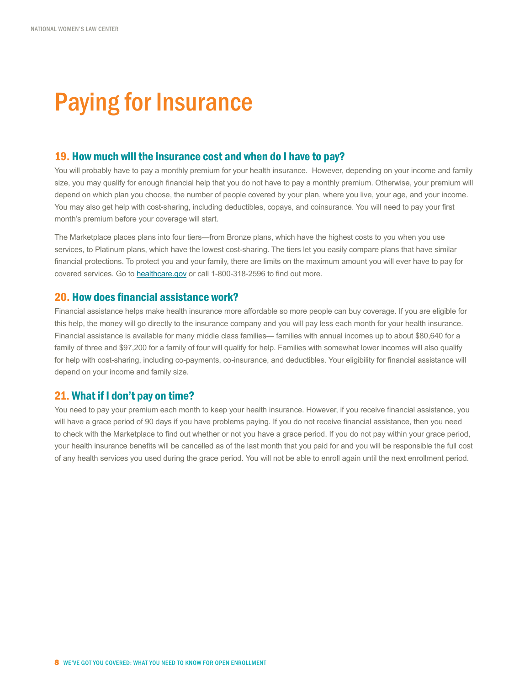## Paying for Insurance

### 19. How much will the insurance cost and when do I have to pay?

You will probably have to pay a monthly premium for your health insurance. However, depending on your income and family size, you may qualify for enough financial help that you do not have to pay a monthly premium. Otherwise, your premium will depend on which plan you choose, the number of people covered by your plan, where you live, your age, and your income. You may also get help with cost-sharing, including deductibles, copays, and coinsurance. You will need to pay your first month's premium before your coverage will start.

The Marketplace places plans into four tiers—from Bronze plans, which have the highest costs to you when you use services, to Platinum plans, which have the lowest cost-sharing. The tiers let you easily compare plans that have similar financial protections. To protect you and your family, there are limits on the maximum amount you will ever have to pay for covered services. Go to [healthcare.gov](https://www.healthcare.gov/) or call 1-800-318-2596 to find out more.

### 20. How does financial assistance work?

Financial assistance helps make health insurance more affordable so more people can buy coverage. If you are eligible for this help, the money will go directly to the insurance company and you will pay less each month for your health insurance. Financial assistance is available for many middle class families— families with annual incomes up to about \$80,640 for a family of three and \$97,200 for a family of four will qualify for help. Families with somewhat lower incomes will also qualify for help with cost-sharing, including co-payments, co-insurance, and deductibles. Your eligibility for financial assistance will depend on your income and family size.

### 21. What if I don't pay on time?

You need to pay your premium each month to keep your health insurance. However, if you receive financial assistance, you will have a grace period of 90 days if you have problems paying. If you do not receive financial assistance, then you need to check with the Marketplace to find out whether or not you have a grace period. If you do not pay within your grace period, your health insurance benefits will be cancelled as of the last month that you paid for and you will be responsible the full cost of any health services you used during the grace period. You will not be able to enroll again until the next enrollment period.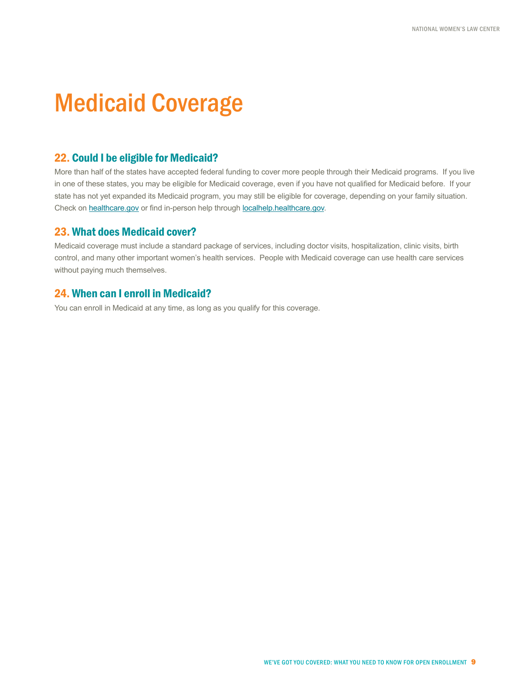### Medicaid Coverage

### 22. Could I be eligible for Medicaid?

More than half of the states have accepted federal funding to cover more people through their Medicaid programs. If you live in one of these states, you may be eligible for Medicaid coverage, even if you have not qualified for Medicaid before. If your state has not yet expanded its Medicaid program, you may still be eligible for coverage, depending on your family situation. Check on [healthcare.gov](https://www.healthcare.gov/) or find in-person help through [localhelp.healthcare.gov.](https://localhelp.healthcare.gov/)

### 23. What does Medicaid cover?

Medicaid coverage must include a standard package of services, including doctor visits, hospitalization, clinic visits, birth control, and many other important women's health services. People with Medicaid coverage can use health care services without paying much themselves.

### 24. When can I enroll in Medicaid?

You can enroll in Medicaid at any time, as long as you qualify for this coverage.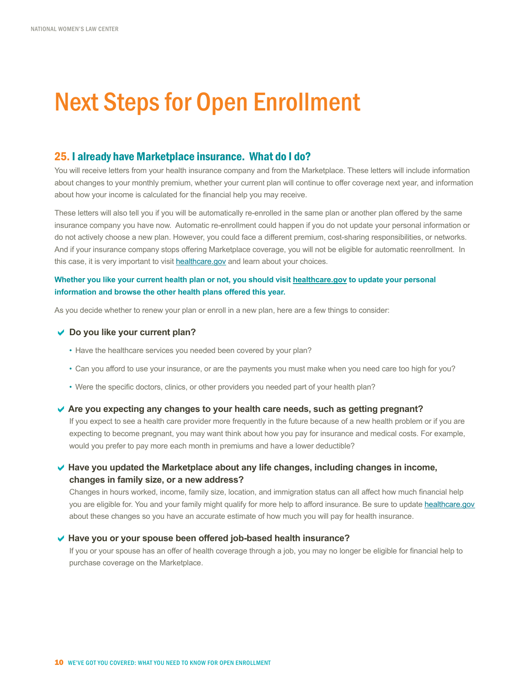### Next Steps for Open Enrollment

### 25. I already have Marketplace insurance. What do I do?

You will receive letters from your health insurance company and from the Marketplace. These letters will include information about changes to your monthly premium, whether your current plan will continue to offer coverage next year, and information about how your income is calculated for the financial help you may receive.

These letters will also tell you if you will be automatically re-enrolled in the same plan or another plan offered by the same insurance company you have now. Automatic re-enrollment could happen if you do not update your personal information or do not actively choose a new plan. However, you could face a different premium, cost-sharing responsibilities, or networks. And if your insurance company stops offering Marketplace coverage, you will not be eligible for automatic reenrollment. In this case, it is very important to visit [healthcare.gov](https://www.healthcare.gov/) and learn about your choices.

### **Whether you like your current health plan or not, you should visit [healthcare.gov](https://www.healthcare.gov/) to update your personal information and browse the other health plans offered this year.**

As you decide whether to renew your plan or enroll in a new plan, here are a few things to consider:

#### **↓** Do you like your current plan?

- Have the healthcare services you needed been covered by your plan?
- Can you afford to use your insurance, or are the payments you must make when you need care too high for you?
- Were the specific doctors, clinics, or other providers you needed part of your health plan?

#### **◆ Are you expecting any changes to your health care needs, such as getting pregnant?**

 If you expect to see a health care provider more frequently in the future because of a new health problem or if you are expecting to become pregnant, you may want think about how you pay for insurance and medical costs. For example, would you prefer to pay more each month in premiums and have a lower deductible?

### **★ Have you updated the Marketplace about any life changes, including changes in income, changes in family size, or a new address?**

Changes in hours worked, income, family size, location, and immigration status can all affect how much financial help you are eligible for. You and your family might qualify for more help to afford insurance. Be sure to update healthcare.gov about these changes so you have an accurate estimate of how much you will pay for health insurance.

#### **► Have you or your spouse been offered job-based health insurance?**

If you or your spouse has an offer of health coverage through a job, you may no longer be eligible for financial help to purchase coverage on the Marketplace.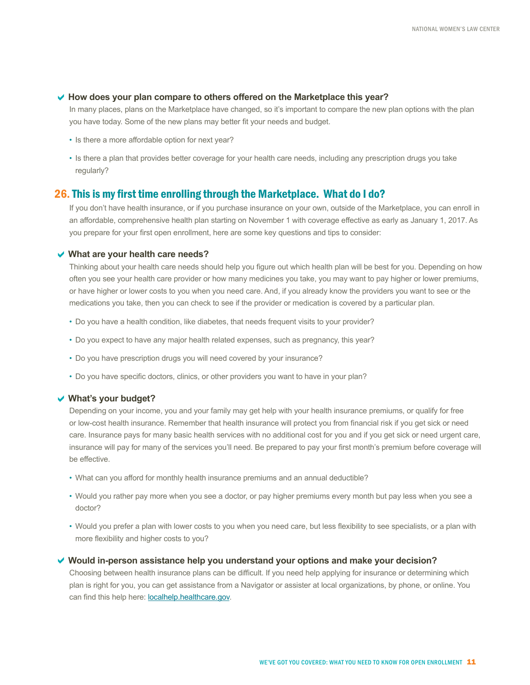#### **► How does your plan compare to others offered on the Marketplace this year?**

 In many places, plans on the Marketplace have changed, so it's important to compare the new plan options with the plan you have today. Some of the new plans may better fit your needs and budget.

- Is there a more affordable option for next year?
- Is there a plan that provides better coverage for your health care needs, including any prescription drugs you take regularly?

### 26. This is my first time enrolling through the Marketplace. What do I do?

 If you don't have health insurance, or if you purchase insurance on your own, outside of the Marketplace, you can enroll in an affordable, comprehensive health plan starting on November 1 with coverage effective as early as January 1, 2017. As you prepare for your first open enrollment, here are some key questions and tips to consider:

#### **► What are your health care needs?**

Thinking about your health care needs should help you figure out which health plan will be best for you. Depending on how often you see your health care provider or how many medicines you take, you may want to pay higher or lower premiums, or have higher or lower costs to you when you need care. And, if you already know the providers you want to see or the medications you take, then you can check to see if the provider or medication is covered by a particular plan.

- Do you have a health condition, like diabetes, that needs frequent visits to your provider?
- Do you expect to have any major health related expenses, such as pregnancy, this year?
- Do you have prescription drugs you will need covered by your insurance?
- Do you have specific doctors, clinics, or other providers you want to have in your plan?

#### a**What's your budget?**

 Depending on your income, you and your family may get help with your health insurance premiums, or qualify for free or low-cost health insurance. Remember that health insurance will protect you from financial risk if you get sick or need care. Insurance pays for many basic health services with no additional cost for you and if you get sick or need urgent care, insurance will pay for many of the services you'll need. Be prepared to pay your first month's premium before coverage will be effective.

- What can you afford for monthly health insurance premiums and an annual deductible?
- Would you rather pay more when you see a doctor, or pay higher premiums every month but pay less when you see a doctor?
- Would you prefer a plan with lower costs to you when you need care, but less flexibility to see specialists, or a plan with more flexibility and higher costs to you?

#### **◆ Would in-person assistance help you understand your options and make your decision?**

Choosing between health insurance plans can be difficult. If you need help applying for insurance or determining which plan is right for you, you can get assistance from a Navigator or assister at local organizations, by phone, or online. You can find this help here: [localhelp.healthcare.gov](https://localhelp.healthcare.gov/).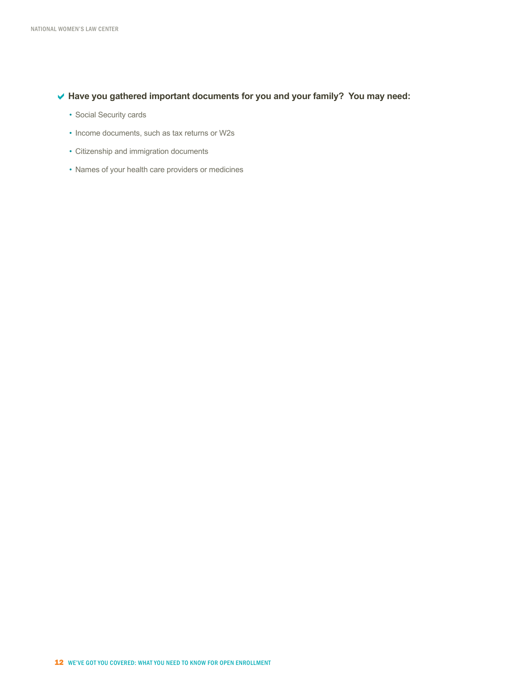### ◆ Have you gathered important documents for you and your family? You may need:

- Social Security cards
- Income documents, such as tax returns or W2s
- Citizenship and immigration documents
- Names of your health care providers or medicines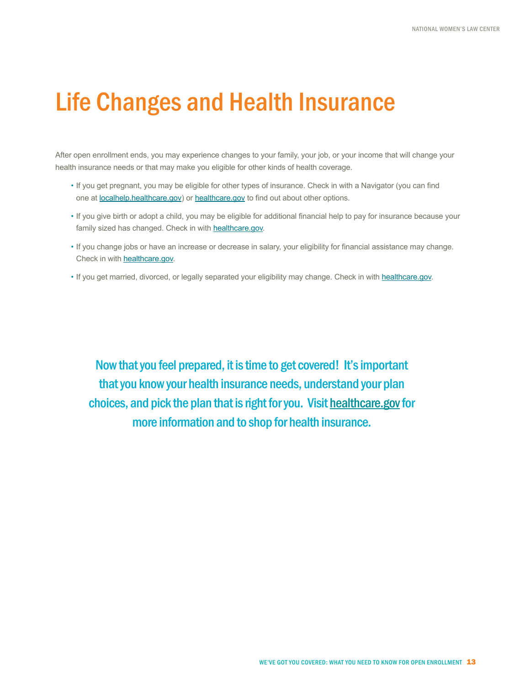### Life Changes and Health Insurance

After open enrollment ends, you may experience changes to your family, your job, or your income that will change your health insurance needs or that may make you eligible for other kinds of health coverage.

- If you get pregnant, you may be eligible for other types of insurance. Check in with a Navigator (you can find one at [localhelp.healthcare.gov\)](https://localhelp.healthcare.gov/) or [healthcare.gov](https://www.healthcare.gov/) to find out about other options.
- If you give birth or adopt a child, you may be eligible for additional financial help to pay for insurance because your family sized has changed. Check in with [healthcare.gov.](https://www.healthcare.gov/)
- If you change jobs or have an increase or decrease in salary, your eligibility for financial assistance may change. Check in with [healthcare.gov.](https://www.healthcare.gov/)
- If you get married, divorced, or legally separated your eligibility may change. Check in with [healthcare.gov](https://www.healthcare.gov/).

Now that you feel prepared, it is time to get covered! It's important that you know your health insurance needs, understand your plan choices, and pick the plan that is right for you. Visit [healthcare.gov](https://www.healthcare.gov/) for more information and to shop for health insurance.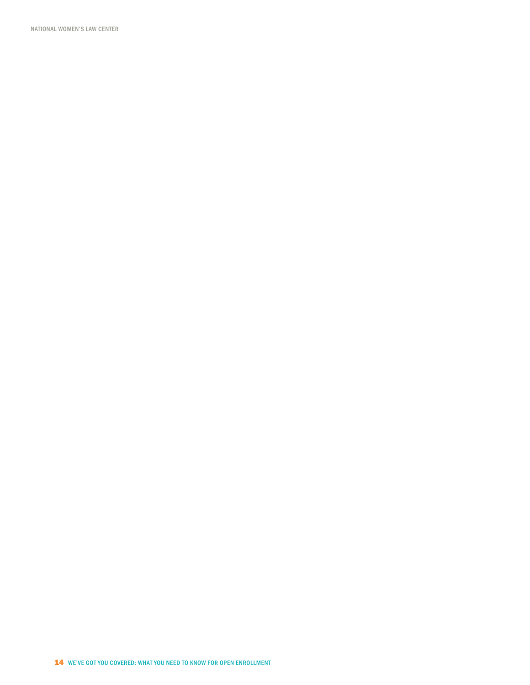National Women's Law Center